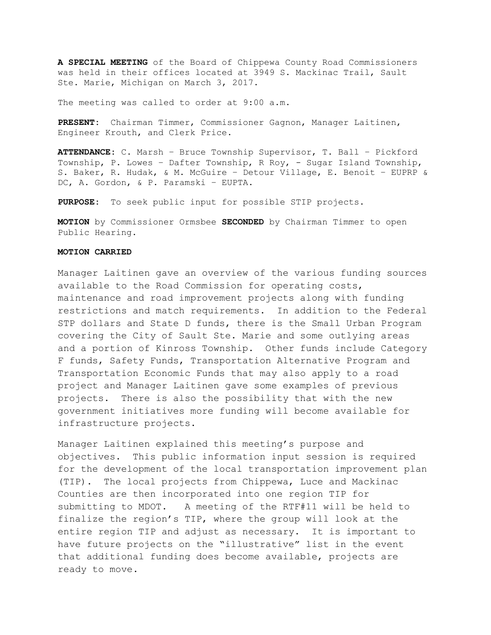**A SPECIAL MEETING** of the Board of Chippewa County Road Commissioners was held in their offices located at 3949 S. Mackinac Trail, Sault Ste. Marie, Michigan on March 3, 2017.

The meeting was called to order at 9:00 a.m.

**PRESENT:** Chairman Timmer, Commissioner Gagnon, Manager Laitinen, Engineer Krouth, and Clerk Price.

**ATTENDANCE:** C. Marsh – Bruce Township Supervisor, T. Ball – Pickford Township, P. Lowes – Dafter Township, R Roy, - Sugar Island Township, S. Baker, R. Hudak, & M. McGuire – Detour Village, E. Benoit – EUPRP & DC, A. Gordon, & P. Paramski – EUPTA.

**PURPOSE:** To seek public input for possible STIP projects.

**MOTION** by Commissioner Ormsbee **SECONDED** by Chairman Timmer to open Public Hearing.

## **MOTION CARRIED**

Manager Laitinen gave an overview of the various funding sources available to the Road Commission for operating costs, maintenance and road improvement projects along with funding restrictions and match requirements. In addition to the Federal STP dollars and State D funds, there is the Small Urban Program covering the City of Sault Ste. Marie and some outlying areas and a portion of Kinross Township. Other funds include Category F funds, Safety Funds, Transportation Alternative Program and Transportation Economic Funds that may also apply to a road project and Manager Laitinen gave some examples of previous projects. There is also the possibility that with the new government initiatives more funding will become available for infrastructure projects.

Manager Laitinen explained this meeting's purpose and objectives. This public information input session is required for the development of the local transportation improvement plan (TIP). The local projects from Chippewa, Luce and Mackinac Counties are then incorporated into one region TIP for submitting to MDOT. A meeting of the RTF#11 will be held to finalize the region's TIP, where the group will look at the entire region TIP and adjust as necessary. It is important to have future projects on the "illustrative" list in the event that additional funding does become available, projects are ready to move.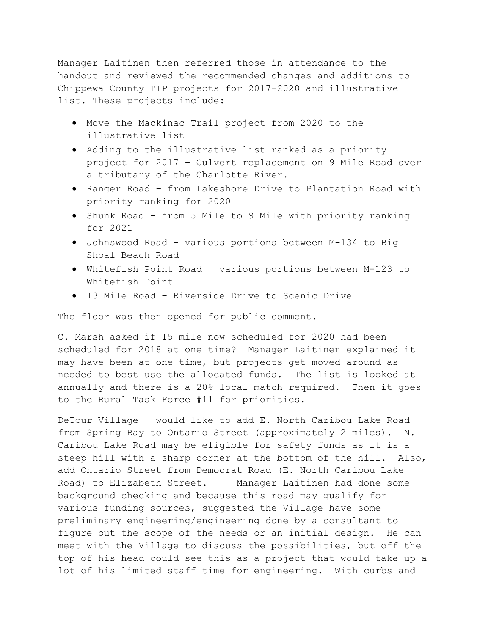Manager Laitinen then referred those in attendance to the handout and reviewed the recommended changes and additions to Chippewa County TIP projects for 2017-2020 and illustrative list. These projects include:

- Move the Mackinac Trail project from 2020 to the illustrative list
- Adding to the illustrative list ranked as a priority project for 2017 – Culvert replacement on 9 Mile Road over a tributary of the Charlotte River.
- Ranger Road from Lakeshore Drive to Plantation Road with priority ranking for 2020
- Shunk Road from 5 Mile to 9 Mile with priority ranking for 2021
- Johnswood Road various portions between M-134 to Big Shoal Beach Road
- Whitefish Point Road various portions between M-123 to Whitefish Point
- 13 Mile Road Riverside Drive to Scenic Drive

The floor was then opened for public comment.

C. Marsh asked if 15 mile now scheduled for 2020 had been scheduled for 2018 at one time? Manager Laitinen explained it may have been at one time, but projects get moved around as needed to best use the allocated funds. The list is looked at annually and there is a 20% local match required. Then it goes to the Rural Task Force #11 for priorities.

DeTour Village – would like to add E. North Caribou Lake Road from Spring Bay to Ontario Street (approximately 2 miles). N. Caribou Lake Road may be eligible for safety funds as it is a steep hill with a sharp corner at the bottom of the hill. Also, add Ontario Street from Democrat Road (E. North Caribou Lake Road) to Elizabeth Street. Manager Laitinen had done some background checking and because this road may qualify for various funding sources, suggested the Village have some preliminary engineering/engineering done by a consultant to figure out the scope of the needs or an initial design. He can meet with the Village to discuss the possibilities, but off the top of his head could see this as a project that would take up a lot of his limited staff time for engineering. With curbs and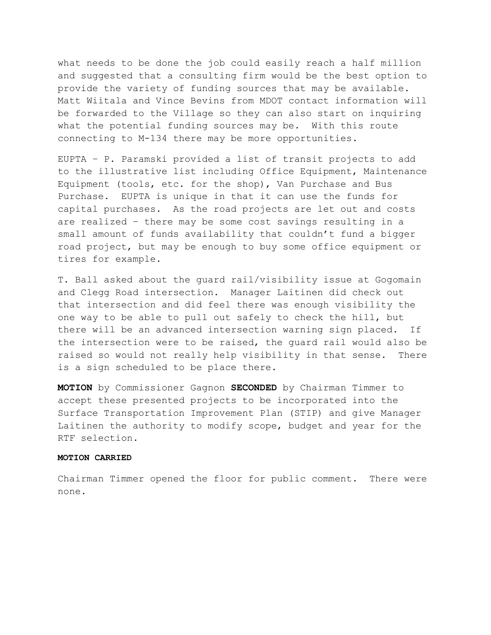what needs to be done the job could easily reach a half million and suggested that a consulting firm would be the best option to provide the variety of funding sources that may be available. Matt Wiitala and Vince Bevins from MDOT contact information will be forwarded to the Village so they can also start on inquiring what the potential funding sources may be. With this route connecting to M-134 there may be more opportunities.

EUPTA – P. Paramski provided a list of transit projects to add to the illustrative list including Office Equipment, Maintenance Equipment (tools, etc. for the shop), Van Purchase and Bus Purchase. EUPTA is unique in that it can use the funds for capital purchases. As the road projects are let out and costs are realized – there may be some cost savings resulting in a small amount of funds availability that couldn't fund a bigger road project, but may be enough to buy some office equipment or tires for example.

T. Ball asked about the guard rail/visibility issue at Gogomain and Clegg Road intersection. Manager Laitinen did check out that intersection and did feel there was enough visibility the one way to be able to pull out safely to check the hill, but there will be an advanced intersection warning sign placed. If the intersection were to be raised, the guard rail would also be raised so would not really help visibility in that sense. There is a sign scheduled to be place there.

**MOTION** by Commissioner Gagnon **SECONDED** by Chairman Timmer to accept these presented projects to be incorporated into the Surface Transportation Improvement Plan (STIP) and give Manager Laitinen the authority to modify scope, budget and year for the RTF selection.

## **MOTION CARRIED**

Chairman Timmer opened the floor for public comment. There were none.